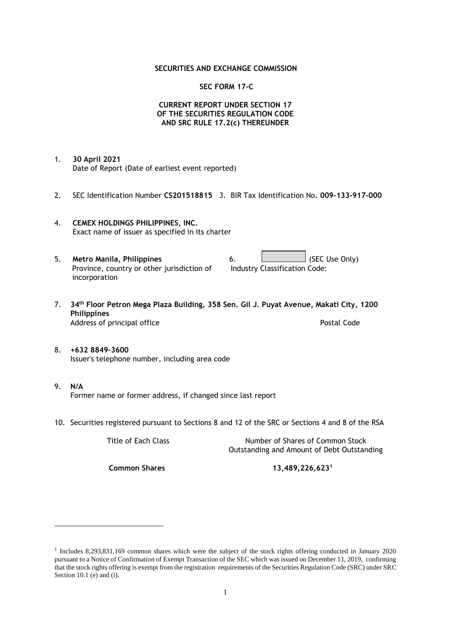### **SECURITIES AND EXCHANGE COMMISSION**

### **SEC FORM 17-C**

## **CURRENT REPORT UNDER SECTION 17 OF THE SECURITIES REGULATION CODE AND SRC RULE 17.2(c) THEREUNDER**

- 1. **30 April 2021** Date of Report (Date of earliest event reported)
- 2. SEC Identification Number **CS201518815** 3. BIR Tax Identification No**. 009-133-917-000**
- 4. **CEMEX HOLDINGS PHILIPPINES, INC.** Exact name of issuer as specified in its charter
- 5. **Metro Manila, Philippines** 6. **Consumers 6.** (SEC Use Only) Province, country or other jurisdiction of incorporation Industry Classification Code:
- 7. **34th Floor Petron Mega Plaza Building, 358 Sen. Gil J. Puyat Avenue, Makati City, 1200 Philippines** Address of principal office **Postal Code** Postal Code
- 8. **+632 8849-3600** Issuer's telephone number, including area code
- 9. **N/A** Former name or former address, if changed since last report
- 10. Securities registered pursuant to Sections 8 and 12 of the SRC or Sections 4 and 8 of the RSA

Title of Each Class Number of Shares of Common Stock Outstanding and Amount of Debt Outstanding

**Common Shares 13,489,226,623<sup>1</sup>**

<sup>1</sup> Includes 8,293,831,169 common shares which were the subject of the stock rights offering conducted in January 2020 pursuant to a Notice of Confirmation of Exempt Transaction of the SEC which was issued on December 11, 2019, confirming that the stock rights offering is exempt from the registration requirements of the Securities Regulation Code (SRC) under SRC Section 10.1 (e) and (i).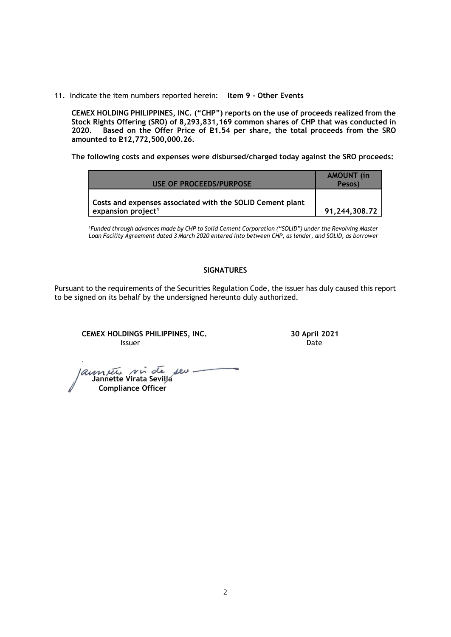11. Indicate the item numbers reported herein: **Item 9 - Other Events**

**CEMEX HOLDING PHILIPPINES, INC. ("CHP") reports on the use of proceeds realized from the Stock Rights Offering (SRO) of 8,293,831,169 common shares of CHP that was conducted in**  Based on the Offer Price of £1.54 per share, the total proceeds from the SRO **amounted to P12,772,500,000.26.** 

**The following costs and expenses were disbursed/charged today against the SRO proceeds:**

| USE OF PROCEEDS/PURPOSE                                                                     | <b>AMOUNT</b> (in<br>Pesos) |
|---------------------------------------------------------------------------------------------|-----------------------------|
| Costs and expenses associated with the SOLID Cement plant<br>expansion project <sup>1</sup> | 91,244,308.72               |

<sup>1</sup>*Funded through advances made by CHP to Solid Cement Corporation ("SOLID") under the Revolving Master Loan Facility Agreement dated 3 March 2020 entered into between CHP, as lender, and SOLID, as borrower*

# **SIGNATURES**

Pursuant to the requirements of the Securities Regulation Code, the issuer has duly caused this report to be signed on its behalf by the undersigned hereunto duly authorized.

**CEMEX HOLDINGS PHILIPPINES, INC. 30 April 2021 Issuer Community Systems** and the set of the set of the set of the set of the set of the set of the set of the s

 **Jannette Virata Sevilla Compliance Officer**